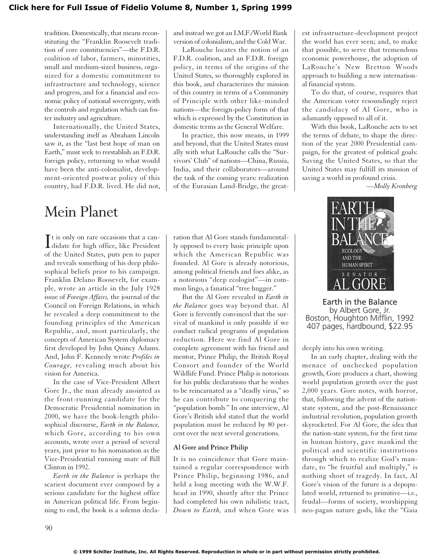### **[Click here for Full Issue of Fidelio Volume 8, Number 1, Spring 1999](http://schillerinstitute.org/fidelio_archive/1999/fidv08n01-1999Sp/index.html)**

tradition. Domestically, that means reconstituting the "Franklin Roosevelt tradition of core constituencies"—the F.D.R. coalition of labor, farmers, minorities, small and medium-sized business, organized for a domestic commitment to infrastructure and technology, science and progress, and for a financial and economic policy of national sovereignty, with the controls and regulation which can foster industry and agriculture.

Internationally, the United States, understanding itself as Abraham Lincoln saw it, as the "last best hope of man on Earth," must seek to reestablish an F.D.R. foreign policy, returning to what would have been the anti-colonialist, development-oriented postwar policy of this country, had F.D.R. lived. He did not,

## Mein Planet

It is only on rare occasions that a can-<br>didate for high office, like President  $\mathbf{T}$ t is only on rare occasions that a canof the United States, puts pen to paper and reveals something of his deep philosophical beliefs prior to his campaign. Franklin Delano Roosevelt, for example, wrote an article in the July 1928 issue of *Foreign Affairs,* the journal of the Council on Foreign Relations, in which he revealed a deep commitment to the founding principles of the American Republic, and, most particularly, the concepts of American System diplomacy first developed by John Quincy Adams. And, John F. Kennedy wrote *Profiles in Courage,* revealing much about his vision for America.

In the case of Vice-President Albert Gore Jr., the man already anointed as the front-running candidate for the Democratic Presidential nomination in 2000, we have the book-length philosophical discourse, *Earth in the Balance,* which Gore, according to his own accounts, wrote over a period of several years, just prior to his nomination as the Vice-Presidential running mate of Bill Clinton in 1992.

*Earth in the Balance* is perhaps the scariest document ever composed by a serious candidate for the highest office in American political life. From beginning to end, the book is a solemn declaand instead we got an I.M.F./World Bank version of colonialism, and the Cold War.

LaRouche locates the notion of an F.D.R. coalition, and an F.D.R. foreign policy, in terms of the origins of the United States, so thoroughly explored in this book, and characterizes the mission of this country in terms of a Community of Principle with other like-minded nations—the foreign-policy form of that which is expressed by the Constitution in domestic terms as the General Welfare.

In practice, this now means, in 1999 and beyond, that the United States must ally with what LaRouche calls the "Survivors' Club" of nations—China, Russia, India, and their collaborators—around the task of the coming years: realization of the Eurasian Land-Bridge, the great-

ration that Al Gore stands fundamentally opposed to every basic principle upon which the American Republic was founded. Al Gore is already notorious, among political friends and foes alike, as a notorious "deep ecologist"—in common lingo, a fanatical "tree hugger."

But the Al Gore revealed in *Earth in the Balance* goes way beyond that. Al Gore is fervently convinced that the survival of mankind is only possible if we conduct radical programs of population reduction. Here we find Al Gore in complete agreement with his friend and mentor, Prince Philip, the British Royal Consort and founder of the World Wildlife Fund. Prince Philip is notorious for his public declarations that he wishes to be reincarnated as a "deadly virus," so he can contribute to conquering the "population bomb." In one interview, Al Gore's British idol stated that the world population must be reduced by 80 percent over the next several generations.

#### **Al Gore and Prince Philip**

It is no coincidence that Gore maintained a regular correspondence with Prince Philip, beginning 1986, and held a long meeting with the W.W.F. head in 1990, shortly after the Prince had completed his own nihilistic tract, *Down to Earth,* and when Gore was est infrastructure-development project the world has ever seen; and, to make that possible, to serve that tremendous economic powerhouse, the adoption of LaRouche's New Bretton Woods approach to building a new international financial system.

To do that, of course, requires that the American voter resoundingly reject the candidacy of Al Gore, who is adamantly opposed to all of it.

With this book, LaRouche acts to set the terms of debate, to shape the direction of the year 2000 Presidential campaign, for the greatest of political goals: Saving the United States, so that the United States may fulfill its mission of saving a world in profound crisis.

*—Molly Kronberg*



Earth in the Balance by Albert Gore, Jr. Boston, Houghton Mifflin, 1992 407 pages, hardbound, \$22.95

deeply into his own writing.

In an early chapter, dealing with the menace of unchecked population growth, Gore produces a chart, showing world population growth over the past 2,000 years. Gore notes, with horror, that, following the advent of the nationstate system, and the post-Renaissance industrial revolution, population growth skyrocketed. For Al Gore, the idea that the nation-state system, for the first time in human history, gave mankind the political and scientific institutions through which to realize God's mandate, to "be fruitful and multiply," is nothing short of tragedy. In fact, Al Gore's vision of the future is a depopulated world, returned to primitive—i.e., feudal—forms of society, worshipping neo-pagan nature gods, like the "Gaia